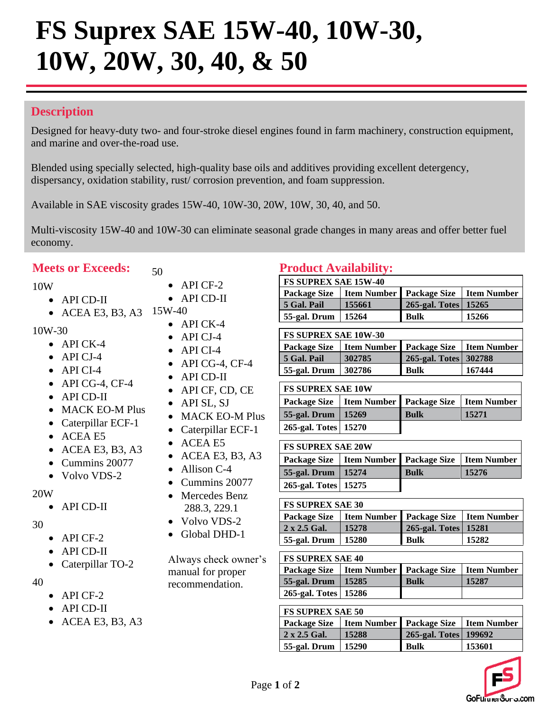# **FS Suprex SAE 15W-40, 10W-30, 10W, 20W, 30, 40, & 50**

# **Description**

Designed for heavy-duty two- and four-stroke diesel engines found in farm machinery, construction equipment, and marine and over-the-road use.

Blended using specially selected, high-quality base oils and additives providing excellent detergency, dispersancy, oxidation stability, rust/ corrosion prevention, and foam suppression.

Available in SAE viscosity grades 15W-40, 10W-30, 20W, 10W, 30, 40, and 50.

Multi-viscosity 15W-40 and 10W-30 can eliminate seasonal grade changes in many areas and offer better fuel economy.

# **Meets or Exceeds:**

- 10W
	- API CD-II
	- ACEA E3, B3, A3 15W-40
- 10W-30
	- API CK-4
	- API CJ-4
	- API CI-4
	- $\bullet$  API CG-4, CF-4
	- API CD-II
	- MACK EO-M Plus
	- Caterpillar ECF-1
	- ACEA E5
	- ACEA E3, B3, A3
	- Cummins 20077
	- Volvo VDS-2

#### 20W

- API CD-II
- 30
- API CF-2
- API CD-II
- Caterpillar TO-2
- 40
- API CF-2
- API CD-II
- ACEA E3, B3, A3

• API CF-2

50

- API CD-II
- $\bullet$  API CK-4
- API CJ-4
- API CI-4
- $\bullet$  API CG-4, CF-4
- API CD-II
- API CF, CD, CE
- API SL, SJ
- MACK EO-M Plus
- Caterpillar ECF-1
- ACEA E5
- ACEA E3, B3, A3
- Allison C-4
- Cummins 20077 • Mercedes Benz
- 288.3, 229.1
- Volvo VDS-2
- Global DHD-1

Always check owner's manual for proper recommendation.

### **Product Availability:**

| <b>FS SUPREX SAE 15W-40</b> |                                               |                      |       |  |  |  |  |
|-----------------------------|-----------------------------------------------|----------------------|-------|--|--|--|--|
| <b>Package Size</b>         | <b>Item Number Package Size I Item Number</b> |                      |       |  |  |  |  |
| 5 Gal. Pail                 | 155661                                        | 265-gal. Totes 15265 |       |  |  |  |  |
| 55-gal. Drum                | 15264                                         | <b>Bulk</b>          | 15266 |  |  |  |  |

| <b>FS SUPREX SAE 10W-30</b> |                                          |                       |        |  |  |  |  |
|-----------------------------|------------------------------------------|-----------------------|--------|--|--|--|--|
| <b>Package Size</b>         | Item Number   Package Size   Item Number |                       |        |  |  |  |  |
| 5 Gal. Pail                 | 302785                                   | 265-gal. Totes 302788 |        |  |  |  |  |
| 55-gal. Drum                | 302786                                   | <b>Bulk</b>           | 167444 |  |  |  |  |

| <b>FS SUPREX SAE 10W</b> |                                                         |             |       |  |  |  |
|--------------------------|---------------------------------------------------------|-------------|-------|--|--|--|
|                          | Package Size   Item Number   Package Size   Item Number |             |       |  |  |  |
| 55-gal. Drum   $15269$   |                                                         | <b>Bulk</b> | 15271 |  |  |  |
| 265-gal. Totes   15270   |                                                         |             |       |  |  |  |

| <b>FS SUPREX SAE 20W</b> |                                                         |             |       |  |  |  |
|--------------------------|---------------------------------------------------------|-------------|-------|--|--|--|
|                          | Package Size   Item Number   Package Size   Item Number |             |       |  |  |  |
| 55-gal. Drum   $15274$   |                                                         | <b>Bulk</b> | 15276 |  |  |  |
| 265-gal. Totes 15275     |                                                         |             |       |  |  |  |

| <b>IFS SUPREX SAE 30</b>   |                                                 |                      |       |  |  |  |  |
|----------------------------|-------------------------------------------------|----------------------|-------|--|--|--|--|
| <b>Package Size</b>        | <b>Item Number   Package Size   Item Number</b> |                      |       |  |  |  |  |
| $\sqrt{2 \times 2.5}$ Gal. | 15278                                           | 265-gal. Totes 15281 |       |  |  |  |  |
| 55-gal. Drum               | 15280                                           | <b>Bulk</b>          | 15282 |  |  |  |  |

| <b>IFS SUPREX SAE 40</b>           |                                                                   |             |       |  |  |  |  |
|------------------------------------|-------------------------------------------------------------------|-------------|-------|--|--|--|--|
|                                    | <b>Package Size</b>   Item Number   Package Size<br>  Item Number |             |       |  |  |  |  |
| $\vert$ 55-gal. Drum $\vert$ 15285 |                                                                   | <b>Bulk</b> | 15287 |  |  |  |  |
| 265-gal. Totes   15286             |                                                                   |             |       |  |  |  |  |

| <b>FS SUPREX SAE 50</b> |                                          |                         |        |  |  |
|-------------------------|------------------------------------------|-------------------------|--------|--|--|
| <b>Package Size</b>     | Item Number   Package Size   Item Number |                         |        |  |  |
| $2 \times 2.5$ Gal.     | 15288                                    | 265-gal. Totes   199692 |        |  |  |
| 55-gal. Drum            | 15290                                    | <b>Bulk</b>             | 153601 |  |  |